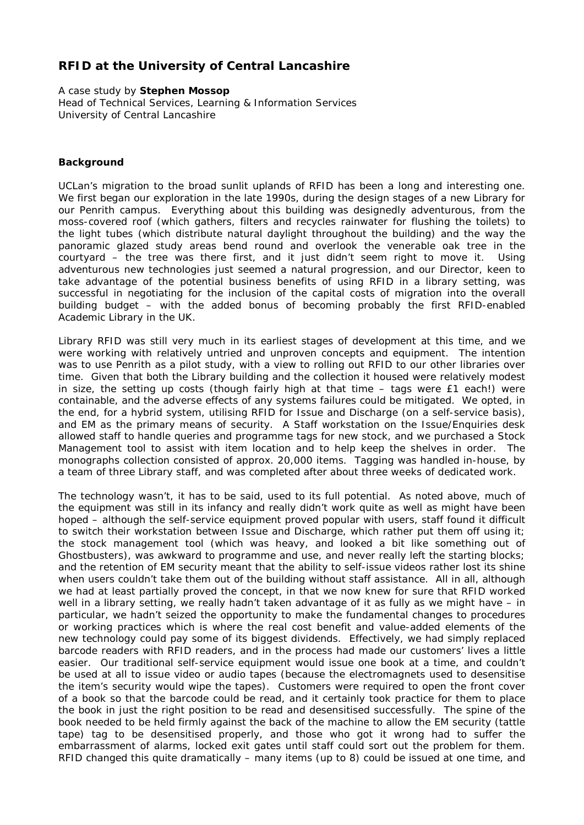## **RFID at the University of Central Lancashire**

A case study by **Stephen Mossop** Head of Technical Services, Learning & Information Services University of Central Lancashire

## **Background**

UCLan's migration to the broad sunlit uplands of RFID has been a long and interesting one. We first began our exploration in the late 1990s, during the design stages of a new Library for our Penrith campus. Everything about this building was designedly adventurous, from the moss-covered roof (which gathers, filters and recycles rainwater for flushing the toilets) to the light tubes (which distribute natural daylight throughout the building) and the way the panoramic glazed study areas bend round and overlook the venerable oak tree in the courtyard – the tree was there first, and it just didn't seem right to move it. Using adventurous new technologies just seemed a natural progression, and our Director, keen to take advantage of the potential business benefits of using RFID in a library setting, was successful in negotiating for the inclusion of the capital costs of migration into the overall building budget – with the added bonus of becoming probably the first RFID-enabled Academic Library in the UK.

Library RFID was still very much in its earliest stages of development at this time, and we were working with relatively untried and unproven concepts and equipment. The intention was to use Penrith as a pilot study, with a view to rolling out RFID to our other libraries over time. Given that both the Library building and the collection it housed were relatively modest in size, the setting up costs (though fairly high at that time – tags were £1 each!) were containable, and the adverse effects of any systems failures could be mitigated. We opted, in the end, for a hybrid system, utilising RFID for Issue and Discharge (on a self-service basis), and EM as the primary means of security. A Staff workstation on the Issue/Enquiries desk allowed staff to handle queries and programme tags for new stock, and we purchased a Stock Management tool to assist with item location and to help keep the shelves in order. The monographs collection consisted of approx. 20,000 items. Tagging was handled in-house, by a team of three Library staff, and was completed after about three weeks of dedicated work.

The technology wasn't, it has to be said, used to its full potential. As noted above, much of the equipment was still in its infancy and really didn't work quite as well as might have been hoped – although the self-service equipment proved popular with users, staff found it difficult to switch their workstation between Issue and Discharge, which rather put them off using it; the stock management tool (which was heavy, and looked a bit like something out of Ghostbusters), was awkward to programme and use, and never really left the starting blocks; and the retention of EM security meant that the ability to self-issue videos rather lost its shine when users couldn't take them out of the building without staff assistance. All in all, although we had at least partially proved the concept, in that we now knew for sure that RFID worked well in a library setting, we really hadn't taken advantage of it as fully as we might have – in particular, we hadn't seized the opportunity to make the fundamental changes to procedures or working practices which is where the real cost benefit and value-added elements of the new technology could pay some of its biggest dividends. Effectively, we had simply replaced barcode readers with RFID readers, and in the process had made our customers' lives a little easier. Our traditional self-service equipment would issue one book at a time, and couldn't be used at all to issue video or audio tapes (because the electromagnets used to desensitise the item's security would wipe the tapes). Customers were required to open the front cover of a book so that the barcode could be read, and it certainly took practice for them to place the book in just the right position to be read and desensitised successfully. The spine of the book needed to be held firmly against the back of the machine to allow the EM security (tattle tape) tag to be desensitised properly, and those who got it wrong had to suffer the embarrassment of alarms, locked exit gates until staff could sort out the problem for them. RFID changed this quite dramatically – many items (up to 8) could be issued at one time, and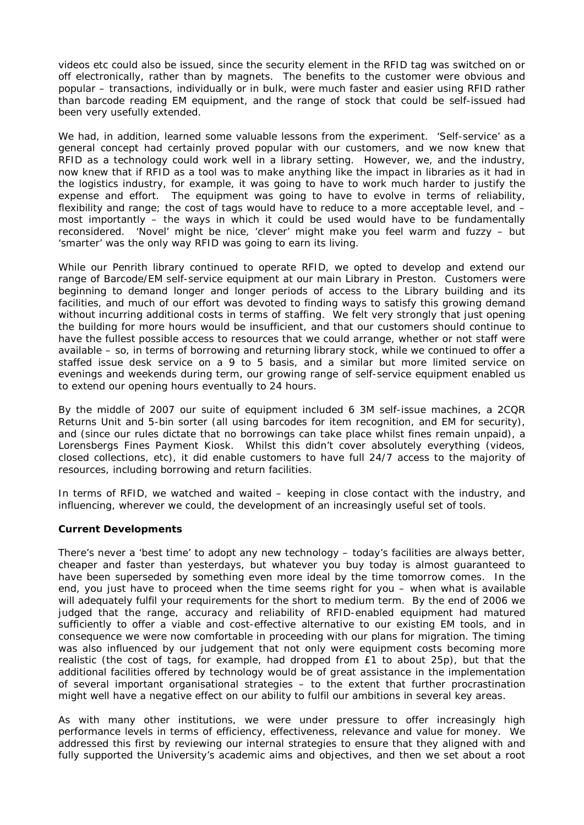videos etc could also be issued, since the security element in the RFID tag was switched on or off electronically, rather than by magnets. The benefits to the customer were obvious and popular – transactions, individually or in bulk, were much faster and easier using RFID rather than barcode reading EM equipment, and the range of stock that could be self-issued had been very usefully extended.

We had, in addition, learned some valuable lessons from the experiment. 'Self-service' as a general concept had certainly proved popular with our customers, and we now knew that RFID as a technology could work well in a library setting. However, we, and the industry, now knew that if RFID as a tool was to make anything like the impact in libraries as it had in the logistics industry, for example, it was going to have to work much harder to justify the expense and effort. The equipment was going to have to evolve in terms of reliability, flexibility and range; the cost of tags would have to reduce to a more acceptable level, and – most importantly – the ways in which it could be used would have to be fundamentally reconsidered. 'Novel' might be nice, 'clever' might make you feel warm and fuzzy – but 'smarter' was the only way RFID was going to earn its living.

While our Penrith library continued to operate RFID, we opted to develop and extend our range of Barcode/EM self-service equipment at our main Library in Preston. Customers were beginning to demand longer and longer periods of access to the Library building and its facilities, and much of our effort was devoted to finding ways to satisfy this growing demand without incurring additional costs in terms of staffing. We felt very strongly that just opening the building for more hours would be insufficient, and that our customers should continue to have the fullest possible access to resources that we could arrange, whether or not staff were available – so, in terms of borrowing and returning library stock, while we continued to offer a staffed issue desk service on a  $9$  to 5 basis, and a similar but more limited service on evenings and weekends during term, our growing range of self-service equipment enabled us to extend our opening hours eventually to 24 hours.

By the middle of 2007 our suite of equipment included 6 3M self-issue machines, a 2CQR Returns Unit and 5-bin sorter (all using barcodes for item recognition, and EM for security), and (since our rules dictate that no borrowings can take place whilst fines remain unpaid), a Lorensbergs Fines Payment Kiosk. Whilst this didn't cover absolutely everything (videos, closed collections, etc), it did enable customers to have full 24/7 access to the majority of resources, including borrowing and return facilities.

In terms of RFID, we watched and waited – keeping in close contact with the industry, and influencing, wherever we could, the development of an increasingly useful set of tools.

## **Current Developments**

There's never a 'best time' to adopt any new technology – today's facilities are always better, cheaper and faster than yesterdays, but whatever you buy today is almost guaranteed to have been superseded by something even more ideal by the time tomorrow comes. In the end, you just have to proceed when the time seems right for you – when what is available will adequately fulfil your requirements for the short to medium term. By the end of 2006 we judged that the range, accuracy and reliability of RFID-enabled equipment had matured sufficiently to offer a viable and cost-effective alternative to our existing EM tools, and in consequence we were now comfortable in proceeding with our plans for migration. The timing was also influenced by our judgement that not only were equipment costs becoming more realistic (the cost of tags, for example, had dropped from £1 to about 25p), but that the additional facilities offered by technology would be of great assistance in the implementation of several important organisational strategies – to the extent that further procrastination might well have a negative effect on our ability to fulfil our ambitions in several key areas.

As with many other institutions, we were under pressure to offer increasingly high performance levels in terms of efficiency, effectiveness, relevance and value for money. We addressed this first by reviewing our internal strategies to ensure that they aligned with and fully supported the University's academic aims and objectives, and then we set about a root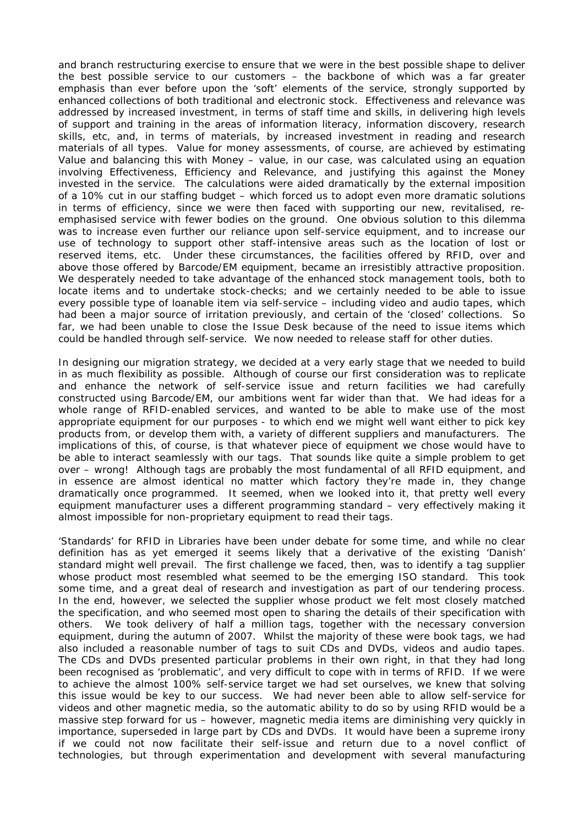and branch restructuring exercise to ensure that we were in the best possible shape to deliver the best possible service to our customers – the backbone of which was a far greater emphasis than ever before upon the 'soft' elements of the service, strongly supported by enhanced collections of both traditional and electronic stock. Effectiveness and relevance was addressed by increased investment, in terms of staff time and skills, in delivering high levels of support and training in the areas of information literacy, information discovery, research skills, etc, and, in terms of materials, by increased investment in reading and research materials of all types. Value for money assessments, of course, are achieved by estimating Value and balancing this with Money – value, in our case, was calculated using an equation involving Effectiveness, Efficiency and Relevance, and justifying this against the Money invested in the service. The calculations were aided dramatically by the external imposition of a 10% cut in our staffing budget – which forced us to adopt even more dramatic solutions in terms of efficiency, since we were then faced with supporting our new, revitalised, reemphasised service with fewer bodies on the ground. One obvious solution to this dilemma was to increase even further our reliance upon self-service equipment, and to increase our use of technology to support other staff-intensive areas such as the location of lost or reserved items, etc. Under these circumstances, the facilities offered by RFID, over and above those offered by Barcode/EM equipment, became an irresistibly attractive proposition. We desperately needed to take advantage of the enhanced stock management tools, both to locate items and to undertake stock-checks; and we certainly needed to be able to issue every possible type of loanable item via self-service – including video and audio tapes, which had been a major source of irritation previously, and certain of the 'closed' collections. So far, we had been unable to close the Issue Desk because of the need to issue items which could be handled through self-service. We now needed to release staff for other duties.

In designing our migration strategy, we decided at a very early stage that we needed to build in as much flexibility as possible. Although of course our first consideration was to replicate and enhance the network of self-service issue and return facilities we had carefully constructed using Barcode/EM, our ambitions went far wider than that. We had ideas for a whole range of RFID-enabled services, and wanted to be able to make use of the most appropriate equipment for our purposes - to which end we might well want either to pick key products from, or develop them with, a variety of different suppliers and manufacturers. The implications of this, of course, is that whatever piece of equipment we chose would have to be able to interact seamlessly with our tags. That sounds like quite a simple problem to get over – wrong! Although tags are probably the most fundamental of all RFID equipment, and in essence are almost identical no matter which factory they're made in, they change dramatically once programmed. It seemed, when we looked into it, that pretty well every equipment manufacturer uses a different programming standard – very effectively making it almost impossible for non-proprietary equipment to read their tags.

'Standards' for RFID in Libraries have been under debate for some time, and while no clear definition has as yet emerged it seems likely that a derivative of the existing 'Danish' standard might well prevail. The first challenge we faced, then, was to identify a tag supplier whose product most resembled what seemed to be the emerging ISO standard. This took some time, and a great deal of research and investigation as part of our tendering process. In the end, however, we selected the supplier whose product we felt most closely matched the specification, and who seemed most open to sharing the details of their specification with others. We took delivery of half a million tags, together with the necessary conversion equipment, during the autumn of 2007. Whilst the majority of these were book tags, we had also included a reasonable number of tags to suit CDs and DVDs, videos and audio tapes. The CDs and DVDs presented particular problems in their own right, in that they had long been recognised as 'problematic', and very difficult to cope with in terms of RFID. If we were to achieve the almost 100% self-service target we had set ourselves, we knew that solving this issue would be key to our success. We had never been able to allow self-service for videos and other magnetic media, so the automatic ability to do so by using RFID would be a massive step forward for us – however, magnetic media items are diminishing very quickly in importance, superseded in large part by CDs and DVDs. It would have been a supreme irony if we could not now facilitate their self-issue and return due to a novel conflict of technologies, but through experimentation and development with several manufacturing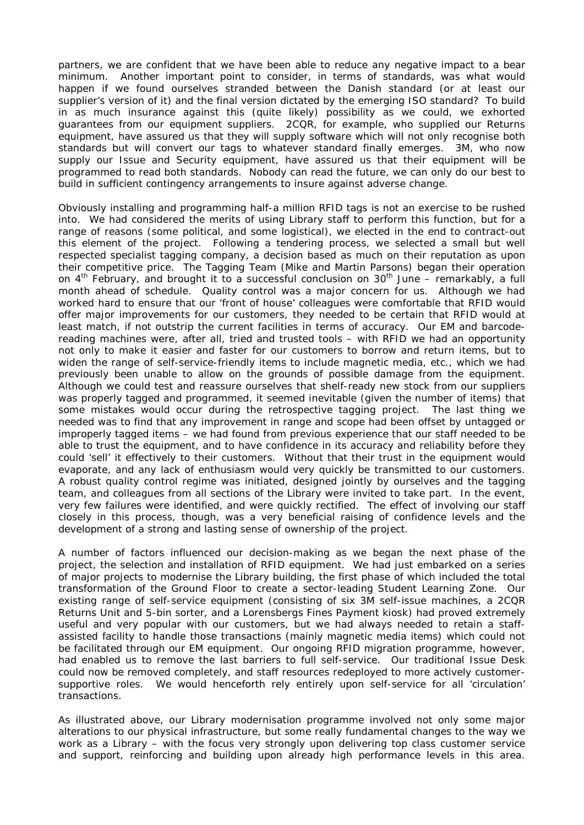partners, we are confident that we have been able to reduce any negative impact to a bear minimum. Another important point to consider, in terms of standards, was what would happen if we found ourselves stranded between the Danish standard (or at least our supplier's version of it) and the final version dictated by the emerging ISO standard? To build in as much insurance against this (quite likely) possibility as we could, we exhorted guarantees from our equipment suppliers. 2CQR, for example, who supplied our Returns equipment, have assured us that they will supply software which will not only recognise both standards but will convert our tags to whatever standard finally emerges. 3M, who now supply our Issue and Security equipment, have assured us that their equipment will be programmed to read both standards. Nobody can read the future, we can only do our best to build in sufficient contingency arrangements to insure against adverse change.

Obviously installing and programming half-a million RFID tags is not an exercise to be rushed into. We had considered the merits of using Library staff to perform this function, but for a range of reasons (some political, and some logistical), we elected in the end to contract-out this element of the project. Following a tendering process, we selected a small but well respected specialist tagging company, a decision based as much on their reputation as upon their competitive price. The Tagging Team (Mike and Martin Parsons) began their operation on  $4^{th}$  February, and brought it to a successful conclusion on  $30^{th}$  June – remarkably, a full month ahead of schedule. Quality control was a major concern for us. Although we had worked hard to ensure that our 'front of house' colleagues were comfortable that RFID would offer major improvements for our customers, they needed to be certain that RFID would at least match, if not outstrip the current facilities in terms of accuracy. Our EM and barcodereading machines were, after all, tried and trusted tools – with RFID we had an opportunity not only to make it easier and faster for our customers to borrow and return items, but to widen the range of self-service-friendly items to include magnetic media, etc., which we had previously been unable to allow on the grounds of possible damage from the equipment. Although we could test and reassure ourselves that shelf-ready new stock from our suppliers was properly tagged and programmed, it seemed inevitable (given the number of items) that some mistakes would occur during the retrospective tagging project. The last thing we needed was to find that any improvement in range and scope had been offset by untagged or improperly tagged items – we had found from previous experience that our staff needed to be able to trust the equipment, and to have confidence in its accuracy and reliability before they could 'sell' it effectively to their customers. Without that their trust in the equipment would evaporate, and any lack of enthusiasm would very quickly be transmitted to our customers. A robust quality control regime was initiated, designed jointly by ourselves and the tagging team, and colleagues from all sections of the Library were invited to take part. In the event, very few failures were identified, and were quickly rectified. The effect of involving our staff closely in this process, though, was a very beneficial raising of confidence levels and the development of a strong and lasting sense of ownership of the project.

A number of factors influenced our decision-making as we began the next phase of the project, the selection and installation of RFID equipment. We had just embarked on a series of major projects to modernise the Library building, the first phase of which included the total transformation of the Ground Floor to create a sector-leading Student Learning Zone. Our existing range of self-service equipment (consisting of six 3M self-issue machines, a 2CQR Returns Unit and 5-bin sorter, and a Lorensbergs Fines Payment kiosk) had proved extremely useful and very popular with our customers, but we had always needed to retain a staffassisted facility to handle those transactions (mainly magnetic media items) which could not be facilitated through our EM equipment. Our ongoing RFID migration programme, however, had enabled us to remove the last barriers to full self-service. Our traditional Issue Desk could now be removed completely, and staff resources redeployed to more actively customersupportive roles. We would henceforth rely entirely upon self-service for all 'circulation' transactions.

As illustrated above, our Library modernisation programme involved not only some major alterations to our physical infrastructure, but some really fundamental changes to the way we work as a Library – with the focus very strongly upon delivering top class customer service and support, reinforcing and building upon already high performance levels in this area.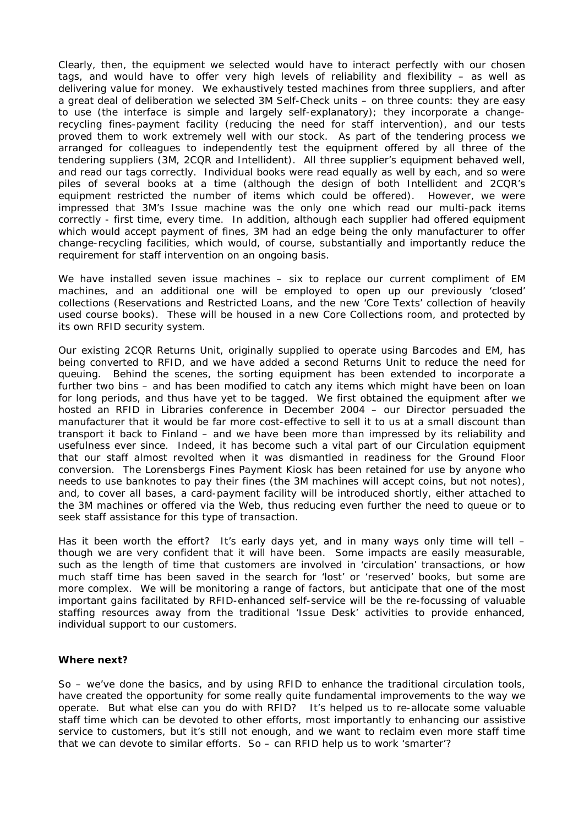Clearly, then, the equipment we selected would have to interact perfectly with our chosen tags, and would have to offer very high levels of reliability and flexibility – as well as delivering value for money. We exhaustively tested machines from three suppliers, and after a great deal of deliberation we selected 3M Self-Check units – on three counts: they are easy to use (the interface is simple and largely self-explanatory); they incorporate a changerecycling fines-payment facility (reducing the need for staff intervention), and our tests proved them to work extremely well with our stock. As part of the tendering process we arranged for colleagues to independently test the equipment offered by all three of the tendering suppliers (3M, 2CQR and Intellident). All three supplier's equipment behaved well, and read our tags correctly. Individual books were read equally as well by each, and so were piles of several books at a time (although the design of both Intellident and 2CQR's equipment restricted the number of items which could be offered). However, we were impressed that 3M's Issue machine was the only one which read our multi-pack items correctly - first time, every time. In addition, although each supplier had offered equipment which would accept payment of fines, 3M had an edge being the only manufacturer to offer change-recycling facilities, which would, of course, substantially and importantly reduce the requirement for staff intervention on an ongoing basis.

We have installed seven issue machines – six to replace our current compliment of EM machines, and an additional one will be employed to open up our previously 'closed' collections (Reservations and Restricted Loans, and the new 'Core Texts' collection of heavily used course books). These will be housed in a new Core Collections room, and protected by its own RFID security system.

Our existing 2CQR Returns Unit, originally supplied to operate using Barcodes and EM, has being converted to RFID, and we have added a second Returns Unit to reduce the need for queuing. Behind the scenes, the sorting equipment has been extended to incorporate a further two bins – and has been modified to catch any items which might have been on loan for long periods, and thus have yet to be tagged. We first obtained the equipment after we hosted an RFID in Libraries conference in December 2004 – our Director persuaded the manufacturer that it would be far more cost-effective to sell it to us at a small discount than transport it back to Finland – and we have been more than impressed by its reliability and usefulness ever since. Indeed, it has become such a vital part of our Circulation equipment that our staff almost revolted when it was dismantled in readiness for the Ground Floor conversion. The Lorensbergs Fines Payment Kiosk has been retained for use by anyone who needs to use banknotes to pay their fines (the 3M machines will accept coins, but not notes), and, to cover all bases, a card-payment facility will be introduced shortly, either attached to the 3M machines or offered via the Web, thus reducing even further the need to queue or to seek staff assistance for this type of transaction.

Has it been worth the effort? It's early days yet, and in many ways only time will tell – though we are very confident that it will have been. Some impacts are easily measurable, such as the length of time that customers are involved in 'circulation' transactions, or how much staff time has been saved in the search for 'lost' or 'reserved' books, but some are more complex. We will be monitoring a range of factors, but anticipate that one of the most important gains facilitated by RFID-enhanced self-service will be the re-focussing of valuable staffing resources away from the traditional 'Issue Desk' activities to provide enhanced, individual support to our customers.

## **Where next?**

So – we've done the basics, and by using RFID to enhance the traditional circulation tools, have created the opportunity for some really quite fundamental improvements to the way we operate. But what else can you do with RFID? It's helped us to re-allocate some valuable staff time which can be devoted to other efforts, most importantly to enhancing our assistive service to customers, but it's still not enough, and we want to reclaim even more staff time that we can devote to similar efforts. So – can RFID help us to work 'smarter'?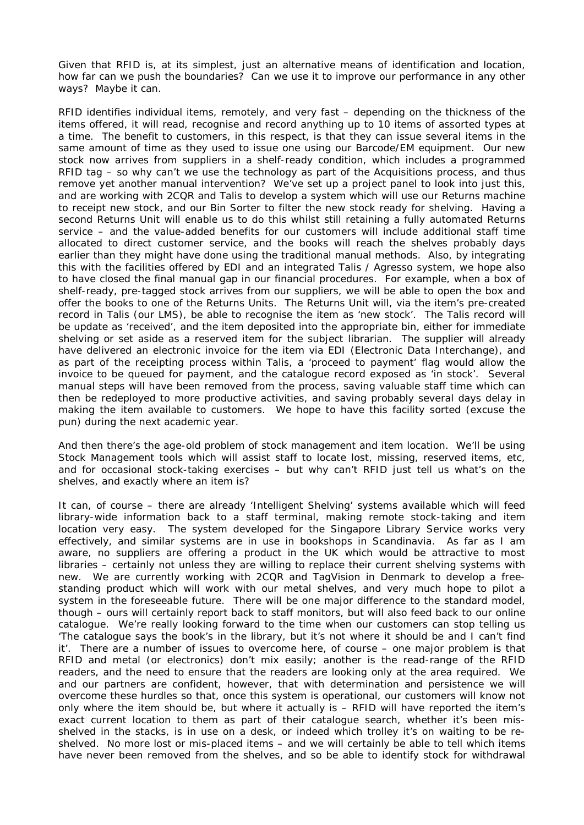Given that RFID is, at its simplest, just an alternative means of identification and location, how far can we push the boundaries? Can we use it to improve our performance in any other ways? Maybe it can.

RFID identifies individual items, remotely, and very fast – depending on the thickness of the items offered, it will read, recognise and record anything up to 10 items of assorted types at a time. The benefit to customers, in this respect, is that they can issue several items in the same amount of time as they used to issue one using our Barcode/EM equipment. Our new stock now arrives from suppliers in a shelf-ready condition, which includes a programmed RFID tag – so why can't we use the technology as part of the Acquisitions process, and thus remove yet another manual intervention? We've set up a project panel to look into just this, and are working with 2CQR and Talis to develop a system which will use our Returns machine to receipt new stock, and our Bin Sorter to filter the new stock ready for shelving. Having a second Returns Unit will enable us to do this whilst still retaining a fully automated Returns service – and the value-added benefits for our customers will include additional staff time allocated to direct customer service, and the books will reach the shelves probably days earlier than they might have done using the traditional manual methods. Also, by integrating this with the facilities offered by EDI and an integrated Talis / Agresso system, we hope also to have closed the final manual gap in our financial procedures. For example, when a box of shelf-ready, pre-tagged stock arrives from our suppliers, we will be able to open the box and offer the books to one of the Returns Units. The Returns Unit will, via the item's pre-created record in Talis (our LMS), be able to recognise the item as 'new stock'. The Talis record will be update as 'received', and the item deposited into the appropriate bin, either for immediate shelving or set aside as a reserved item for the subject librarian. The supplier will already have delivered an electronic invoice for the item via EDI (Electronic Data Interchange), and as part of the receipting process within Talis, a 'proceed to payment' flag would allow the invoice to be queued for payment, and the catalogue record exposed as 'in stock'. Several manual steps will have been removed from the process, saving valuable staff time which can then be redeployed to more productive activities, and saving probably several days delay in making the item available to customers. We hope to have this facility sorted (excuse the pun) during the next academic year.

And then there's the age-old problem of stock management and item location. We'll be using Stock Management tools which will assist staff to locate lost, missing, reserved items, etc, and for occasional stock-taking exercises – but why can't RFID just tell us what's on the shelves, and exactly where an item is?

It can, of course – there are already 'Intelligent Shelving' systems available which will feed library-wide information back to a staff terminal, making remote stock-taking and item location very easy. The system developed for the Singapore Library Service works very effectively, and similar systems are in use in bookshops in Scandinavia. As far as I am aware, no suppliers are offering a product in the UK which would be attractive to most libraries – certainly not unless they are willing to replace their current shelving systems with new. We are currently working with 2CQR and TagVision in Denmark to develop a freestanding product which will work with our metal shelves, and very much hope to pilot a system in the foreseeable future. There will be one major difference to the standard model, though – ours will certainly report back to staff monitors, but will also feed back to our online catalogue. We're really looking forward to the time when our customers can stop telling us 'The catalogue says the book's in the library, but it's not where it should be and I can't find it'. There are a number of issues to overcome here, of course – one major problem is that RFID and metal (or electronics) don't mix easily; another is the read-range of the RFID readers, and the need to ensure that the readers are looking only at the area required. We and our partners are confident, however, that with determination and persistence we will overcome these hurdles so that, once this system is operational, our customers will know not only where the item should be, but where it actually is – RFID will have reported the item's exact current location to them as part of their catalogue search, whether it's been misshelved in the stacks, is in use on a desk, or indeed which trolley it's on waiting to be reshelved. No more lost or mis-placed items – and we will certainly be able to tell which items have never been removed from the shelves, and so be able to identify stock for withdrawal